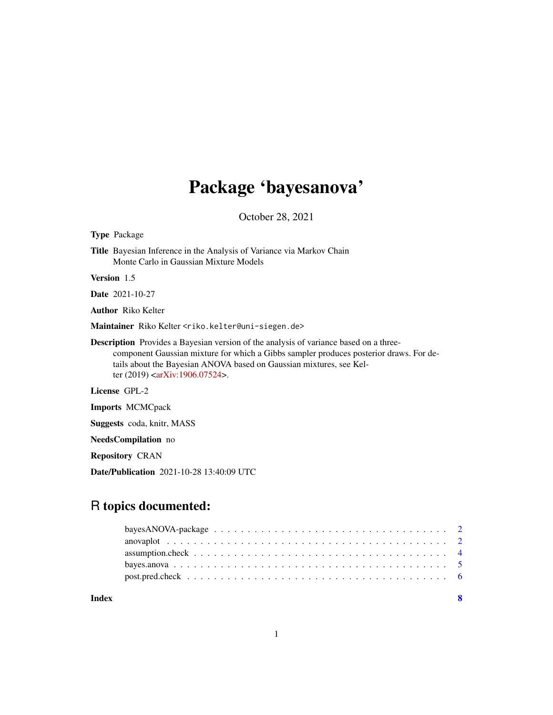## Package 'bayesanova'

October 28, 2021

Type Package

Title Bayesian Inference in the Analysis of Variance via Markov Chain Monte Carlo in Gaussian Mixture Models

Version 1.5

Date 2021-10-27

Author Riko Kelter

Maintainer Riko Kelter <riko.kelter@uni-siegen.de>

Description Provides a Bayesian version of the analysis of variance based on a threecomponent Gaussian mixture for which a Gibbs sampler produces posterior draws. For details about the Bayesian ANOVA based on Gaussian mixtures, see Kel-ter (2019) [<arXiv:1906.07524>](https://arxiv.org/abs/1906.07524).

License GPL-2

Imports MCMCpack

Suggests coda, knitr, MASS

NeedsCompilation no

Repository CRAN

Date/Publication 2021-10-28 13:40:09 UTC

## R topics documented:

**Index** [8](#page-7-0) **8**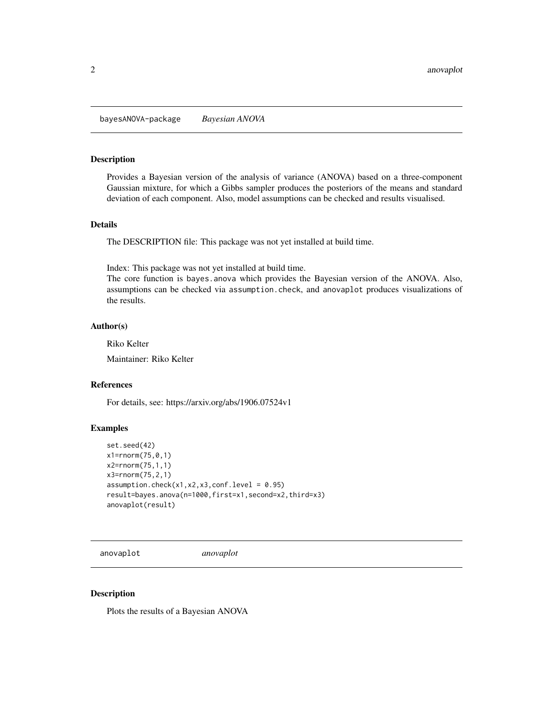<span id="page-1-0"></span>bayesANOVA-package *Bayesian ANOVA*

## Description

Provides a Bayesian version of the analysis of variance (ANOVA) based on a three-component Gaussian mixture, for which a Gibbs sampler produces the posteriors of the means and standard deviation of each component. Also, model assumptions can be checked and results visualised.

## Details

The DESCRIPTION file: This package was not yet installed at build time.

Index: This package was not yet installed at build time.

The core function is bayes.anova which provides the Bayesian version of the ANOVA. Also, assumptions can be checked via assumption.check, and anovaplot produces visualizations of the results.

## Author(s)

Riko Kelter

Maintainer: Riko Kelter

## References

For details, see: https://arxiv.org/abs/1906.07524v1

#### Examples

```
set.seed(42)
x1=rnorm(75,0,1)
x2=rnorm(75,1,1)
x3=rnorm(75,2,1)
assumption.check(x1,x2,x3,conf.level = 0.95)
result=bayes.anova(n=1000,first=x1,second=x2,third=x3)
anovaplot(result)
```
anovaplot *anovaplot*

#### Description

Plots the results of a Bayesian ANOVA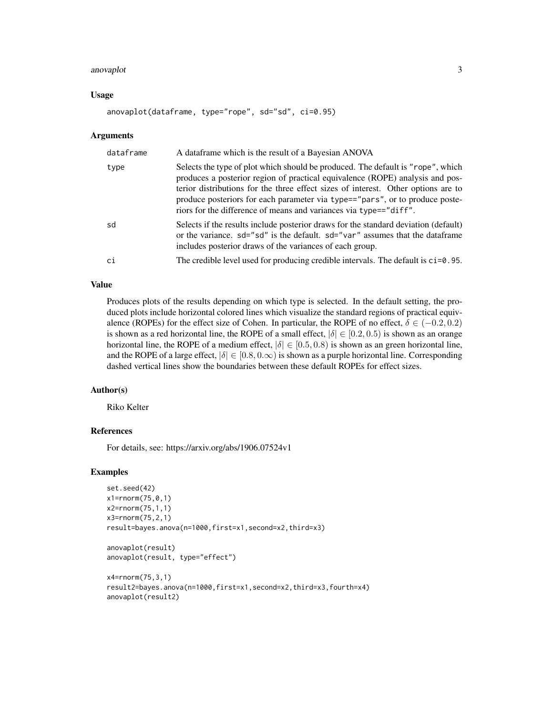#### anovaplot 3

#### Usage

anovaplot(dataframe, type="rope", sd="sd", ci=0.95)

#### Arguments

| dataframe | A dataframe which is the result of a Bayesian ANOVA                                                                                                                                                                                                                                                                                                                                                        |
|-----------|------------------------------------------------------------------------------------------------------------------------------------------------------------------------------------------------------------------------------------------------------------------------------------------------------------------------------------------------------------------------------------------------------------|
| type      | Selects the type of plot which should be produced. The default is "rope", which<br>produces a posterior region of practical equivalence (ROPE) analysis and pos-<br>terior distributions for the three effect sizes of interest. Other options are to<br>produce posteriors for each parameter via type=="pars", or to produce poste-<br>riors for the difference of means and variances via type=="diff". |
| sd        | Selects if the results include posterior draws for the standard deviation (default)<br>or the variance. sd="sd" is the default. sd="var" assumes that the dataframe<br>includes posterior draws of the variances of each group.                                                                                                                                                                            |
| ci        | The credible level used for producing credible intervals. The default is ci=0.95.                                                                                                                                                                                                                                                                                                                          |

## Value

Produces plots of the results depending on which type is selected. In the default setting, the produced plots include horizontal colored lines which visualize the standard regions of practical equivalence (ROPEs) for the effect size of Cohen. In particular, the ROPE of no effect,  $\delta \in (-0.2, 0.2)$ is shown as a red horizontal line, the ROPE of a small effect,  $|\delta| \in [0.2, 0.5)$  is shown as an orange horizontal line, the ROPE of a medium effect,  $|\delta| \in [0.5, 0.8)$  is shown as an green horizontal line, and the ROPE of a large effect,  $|\delta| \in [0.8, 0.0)$  is shown as a purple horizontal line. Corresponding dashed vertical lines show the boundaries between these default ROPEs for effect sizes.

#### Author(s)

Riko Kelter

#### References

For details, see: https://arxiv.org/abs/1906.07524v1

#### Examples

```
set.seed(42)
x1=rnorm(75,0,1)
x2=rnorm(75,1,1)
x3=rnorm(75,2,1)
result=bayes.anova(n=1000,first=x1,second=x2,third=x3)
```

```
anovaplot(result)
anovaplot(result, type="effect")
```

```
x4=rnorm(75,3,1)
result2=bayes.anova(n=1000,first=x1,second=x2,third=x3,fourth=x4)
anovaplot(result2)
```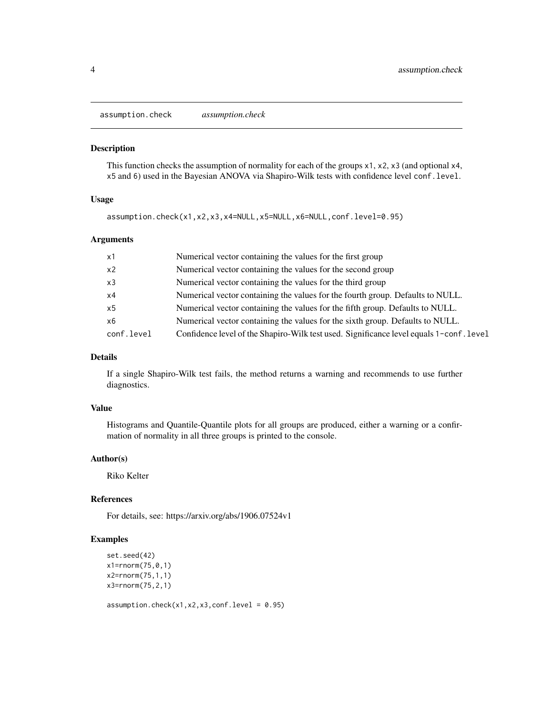<span id="page-3-0"></span>assumption.check *assumption.check*

#### Description

This function checks the assumption of normality for each of the groups x1, x2, x3 (and optional x4, x5 and 6) used in the Bayesian ANOVA via Shapiro-Wilk tests with confidence level conf.level.

## Usage

assumption.check(x1,x2,x3,x4=NULL,x5=NULL,x6=NULL,conf.level=0.95)

## Arguments

| x1             | Numerical vector containing the values for the first group                              |
|----------------|-----------------------------------------------------------------------------------------|
| x <sub>2</sub> | Numerical vector containing the values for the second group                             |
| x3             | Numerical vector containing the values for the third group                              |
| x4             | Numerical vector containing the values for the fourth group. Defaults to NULL.          |
| x5             | Numerical vector containing the values for the fifth group. Defaults to NULL.           |
| x6             | Numerical vector containing the values for the sixth group. Defaults to NULL.           |
| conf.level     | Confidence level of the Shapiro-Wilk test used. Significance level equals 1-conf. level |

## Details

If a single Shapiro-Wilk test fails, the method returns a warning and recommends to use further diagnostics.

## Value

Histograms and Quantile-Quantile plots for all groups are produced, either a warning or a confirmation of normality in all three groups is printed to the console.

#### Author(s)

Riko Kelter

## References

For details, see: https://arxiv.org/abs/1906.07524v1

## Examples

```
set.seed(42)
x1=rnorm(75,0,1)
x2=rnorm(75,1,1)
x3=rnorm(75,2,1)
```

```
assumption.check(x1, x2, x3, \text{conf. level} = 0.95)
```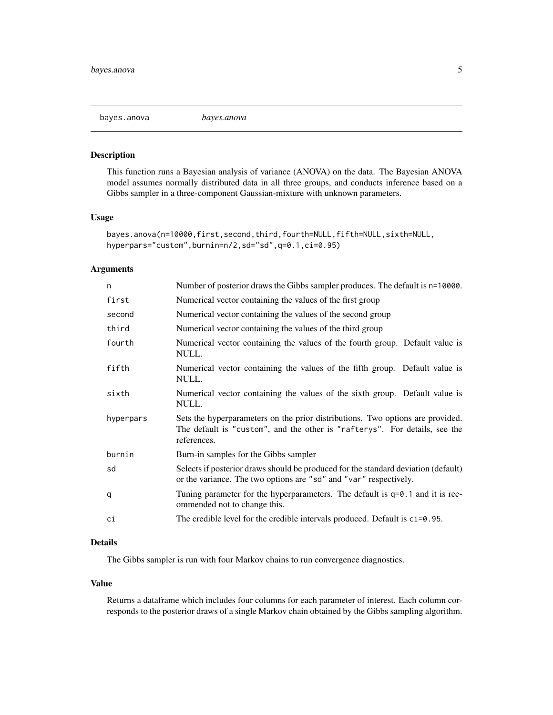<span id="page-4-0"></span>

## Description

This function runs a Bayesian analysis of variance (ANOVA) on the data. The Bayesian ANOVA model assumes normally distributed data in all three groups, and conducts inference based on a Gibbs sampler in a three-component Gaussian-mixture with unknown parameters.

#### Usage

```
bayes.anova(n=10000,first,second,third,fourth=NULL,fifth=NULL,sixth=NULL,
hyperpars="custom",burnin=n/2,sd="sd",q=0.1,ci=0.95)
```
## Arguments

| n         | Number of posterior draws the Gibbs sampler produces. The default is n=10000.                                                                                               |
|-----------|-----------------------------------------------------------------------------------------------------------------------------------------------------------------------------|
| first     | Numerical vector containing the values of the first group                                                                                                                   |
| second    | Numerical vector containing the values of the second group                                                                                                                  |
| third     | Numerical vector containing the values of the third group                                                                                                                   |
| fourth    | Numerical vector containing the values of the fourth group. Default value is<br>NULL.                                                                                       |
| fifth     | Numerical vector containing the values of the fifth group. Default value is<br>NULL.                                                                                        |
| sixth     | Numerical vector containing the values of the sixth group. Default value is<br>NULL.                                                                                        |
| hyperpars | Sets the hyperparameters on the prior distributions. Two options are provided.<br>The default is "custom", and the other is "rafterys". For details, see the<br>references. |
| burnin    | Burn-in samples for the Gibbs sampler                                                                                                                                       |
| sd        | Selects if posterior draws should be produced for the standard deviation (default)<br>or the variance. The two options are "sd" and "var" respectively.                     |
| q         | Tuning parameter for the hyperparameters. The default is $q=0.1$ and it is rec-<br>ommended not to change this.                                                             |
| сi        | The credible level for the credible intervals produced. Default is $ci=0.95$ .                                                                                              |

## Details

The Gibbs sampler is run with four Markov chains to run convergence diagnostics.

#### Value

Returns a dataframe which includes four columns for each parameter of interest. Each column corresponds to the posterior draws of a single Markov chain obtained by the Gibbs sampling algorithm.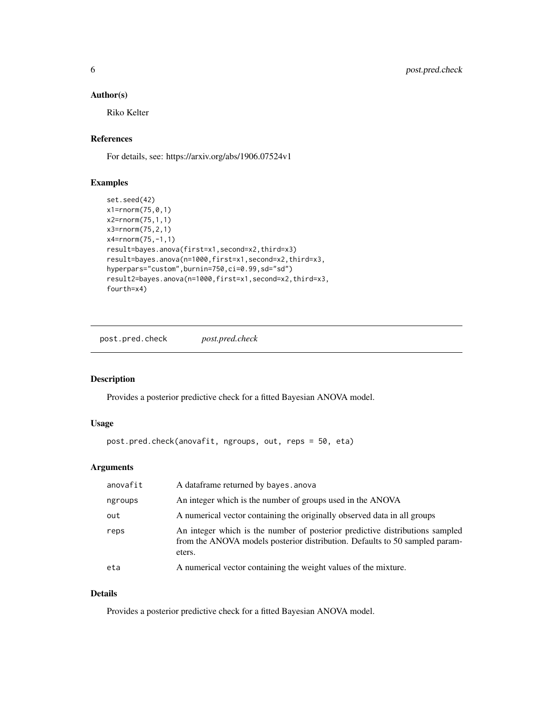## <span id="page-5-0"></span>Author(s)

Riko Kelter

## References

For details, see: https://arxiv.org/abs/1906.07524v1

### Examples

```
set.seed(42)
x1=rnorm(75,0,1)
x2=rnorm(75,1,1)
x3=rnorm(75,2,1)
x4=rnorm(75,-1,1)
result=bayes.anova(first=x1,second=x2,third=x3)
result=bayes.anova(n=1000,first=x1,second=x2,third=x3,
hyperpars="custom",burnin=750,ci=0.99,sd="sd")
result2=bayes.anova(n=1000,first=x1,second=x2,third=x3,
fourth=x4)
```
post.pred.check *post.pred.check*

## Description

Provides a posterior predictive check for a fitted Bayesian ANOVA model.

## Usage

```
post.pred.check(anovafit, ngroups, out, reps = 50, eta)
```
## Arguments

| anovafit | A dataframe returned by bayes. anova                                                                                                                                  |
|----------|-----------------------------------------------------------------------------------------------------------------------------------------------------------------------|
| ngroups  | An integer which is the number of groups used in the ANOVA                                                                                                            |
| out      | A numerical vector containing the originally observed data in all groups                                                                                              |
| reps     | An integer which is the number of posterior predictive distributions sampled<br>from the ANOVA models posterior distribution. Defaults to 50 sampled param-<br>eters. |
| eta      | A numerical vector containing the weight values of the mixture.                                                                                                       |

## Details

Provides a posterior predictive check for a fitted Bayesian ANOVA model.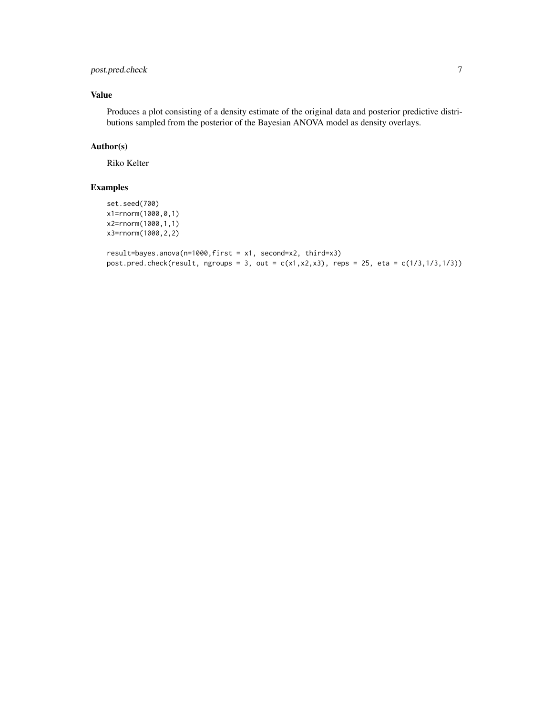## post.pred.check 7

## Value

Produces a plot consisting of a density estimate of the original data and posterior predictive distributions sampled from the posterior of the Bayesian ANOVA model as density overlays.

## Author(s)

Riko Kelter

## Examples

```
set.seed(700)
x1=rnorm(1000,0,1)
x2=rnorm(1000,1,1)
x3=rnorm(1000,2,2)
```

```
result=bayes.anova(n=1000,first = x1, second=x2, third=x3)
post.pred. check(result, ngroughs = 3, out = c(x1, x2, x3), reps = 25, eta = c(1/3, 1/3, 1/3))
```